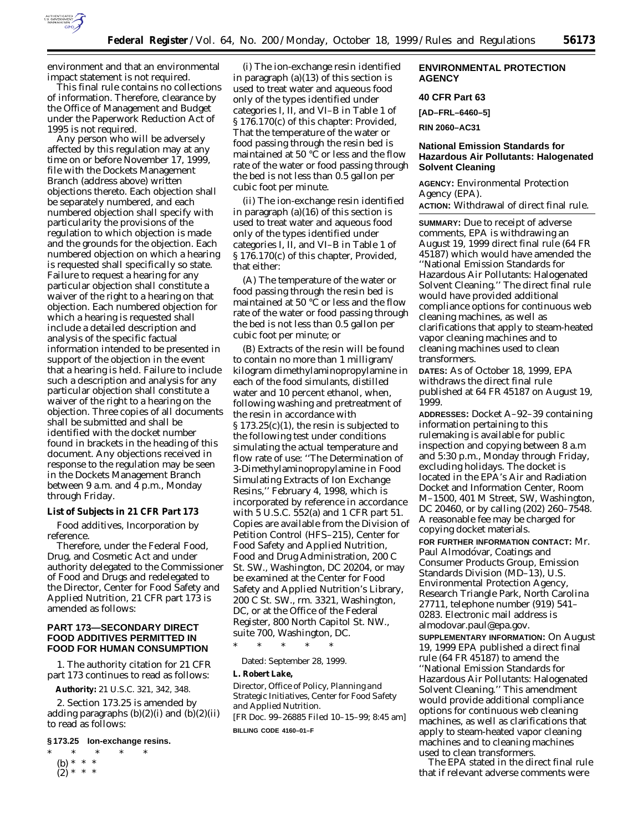

environment and that an environmental impact statement is not required.

This final rule contains no collections of information. Therefore, clearance by the Office of Management and Budget under the Paperwork Reduction Act of 1995 is not required.

Any person who will be adversely affected by this regulation may at any time on or before November 17, 1999, file with the Dockets Management Branch (address above) written objections thereto. Each objection shall be separately numbered, and each numbered objection shall specify with particularity the provisions of the regulation to which objection is made and the grounds for the objection. Each numbered objection on which a hearing is requested shall specifically so state. Failure to request a hearing for any particular objection shall constitute a waiver of the right to a hearing on that objection. Each numbered objection for which a hearing is requested shall include a detailed description and analysis of the specific factual information intended to be presented in support of the objection in the event that a hearing is held. Failure to include such a description and analysis for any particular objection shall constitute a waiver of the right to a hearing on the objection. Three copies of all documents shall be submitted and shall be identified with the docket number found in brackets in the heading of this document. Any objections received in response to the regulation may be seen in the Dockets Management Branch between 9 a.m. and 4 p.m., Monday through Friday.

### **List of Subjects in 21 CFR Part 173**

Food additives, Incorporation by reference.

Therefore, under the Federal Food, Drug, and Cosmetic Act and under authority delegated to the Commissioner of Food and Drugs and redelegated to the Director, Center for Food Safety and Applied Nutrition, 21 CFR part 173 is amended as follows:

# **PART 173—SECONDARY DIRECT FOOD ADDITIVES PERMITTED IN FOOD FOR HUMAN CONSUMPTION**

1. The authority citation for 21 CFR part 173 continues to read as follows:

**Authority:** 21 U.S.C. 321, 342, 348.

2. Section 173.25 is amended by adding paragraphs  $(b)(2)(i)$  and  $(b)(2)(ii)$ to read as follows:

# **§ 173.25 Ion-exchange resins.**

\* \* \* \* \* (b) \* \* \*

 $(2)^{*}$  \* \*

(i) The ion-exchange resin identified in paragraph  $(a)(13)$  of this section is used to treat water and aqueous food only of the types identified under categories I, II, and VI–B in Table 1 of § 176.170(c) of this chapter: *Provided*, That the temperature of the water or food passing through the resin bed is maintained at 50 °C or less and the flow rate of the water or food passing through the bed is not less than 0.5 gallon per cubic foot per minute.

(ii) The ion-exchange resin identified in paragraph (a)(16) of this section is used to treat water and aqueous food only of the types identified under categories I, II, and VI–B in Table 1 of § 176.170(c) of this chapter, *Provided*, that either:

(A) The temperature of the water or food passing through the resin bed is maintained at 50 °C or less and the flow rate of the water or food passing through the bed is not less than 0.5 gallon per cubic foot per minute; or

(B) Extracts of the resin will be found to contain no more than 1 milligram/ kilogram dimethylaminopropylamine in each of the food simulants, distilled water and 10 percent ethanol, when, following washing and pretreatment of the resin in accordance with § 173.25(c)(1), the resin is subjected to the following test under conditions simulating the actual temperature and flow rate of use: ''The Determination of 3-Dimethylaminopropylamine in Food Simulating Extracts of Ion Exchange Resins,'' February 4, 1998, which is incorporated by reference in accordance with 5 U.S.C. 552(a) and 1 CFR part 51. Copies are available from the Division of Petition Control (HFS–215), Center for Food Safety and Applied Nutrition, Food and Drug Administration, 200 C St. SW., Washington, DC 20204, or may be examined at the Center for Food Safety and Applied Nutrition's Library, 200 C St. SW., rm. 3321, Washington, DC, or at the Office of the Federal Register, 800 North Capitol St. NW., suite 700, Washington, DC.

\* \* \* \* \*

Dated: September 28, 1999.

# **L. Robert Lake,**

*Director, Office of Policy, Planning and Strategic Initiatives, Center for Food Safety and Applied Nutrition.*

[FR Doc. 99–26885 Filed 10–15–99; 8:45 am] **BILLING CODE 4160–01–F**

### **ENVIRONMENTAL PROTECTION AGENCY**

# **40 CFR Part 63**

**[AD–FRL–6460–5]**

**RIN 2060–AC31**

### **National Emission Standards for Hazardous Air Pollutants: Halogenated Solvent Cleaning**

**AGENCY:** Environmental Protection Agency (EPA). **ACTION:** Withdrawal of direct final rule.

**SUMMARY:** Due to receipt of adverse

comments, EPA is withdrawing an August 19, 1999 direct final rule (64 FR 45187) which would have amended the ''National Emission Standards for Hazardous Air Pollutants: Halogenated Solvent Cleaning.'' The direct final rule would have provided additional compliance options for continuous web cleaning machines, as well as clarifications that apply to steam-heated vapor cleaning machines and to cleaning machines used to clean transformers.

**DATES:** As of October 18, 1999, EPA withdraws the direct final rule published at 64 FR 45187 on August 19, 1999.

**ADDRESSES:** Docket A–92–39 containing information pertaining to this rulemaking is available for public inspection and copying between 8 a.m and 5:30 p.m., Monday through Friday, excluding holidays. The docket is located in the EPA's Air and Radiation Docket and Information Center, Room M–1500, 401 M Street, SW, Washington, DC 20460, or by calling (202) 260–7548. A reasonable fee may be charged for copying docket materials. **FOR FURTHER INFORMATION CONTACT:** Mr. Paul Almodóvar, Coatings and Consumer Products Group, Emission Standards Division (MD–13), U.S. Environmental Protection Agency, Research Triangle Park, North Carolina 27711, telephone number (919) 541– 0283. Electronic mail address is almodovar.paul@epa.gov. **SUPPLEMENTARY INFORMATION:** On August 19, 1999 EPA published a direct final rule (64 FR 45187) to amend the ''National Emission Standards for Hazardous Air Pollutants: Halogenated Solvent Cleaning.'' This amendment would provide additional compliance options for continuous web cleaning machines, as well as clarifications that apply to steam-heated vapor cleaning machines and to cleaning machines used to clean transformers.

The EPA stated in the direct final rule that if relevant adverse comments were